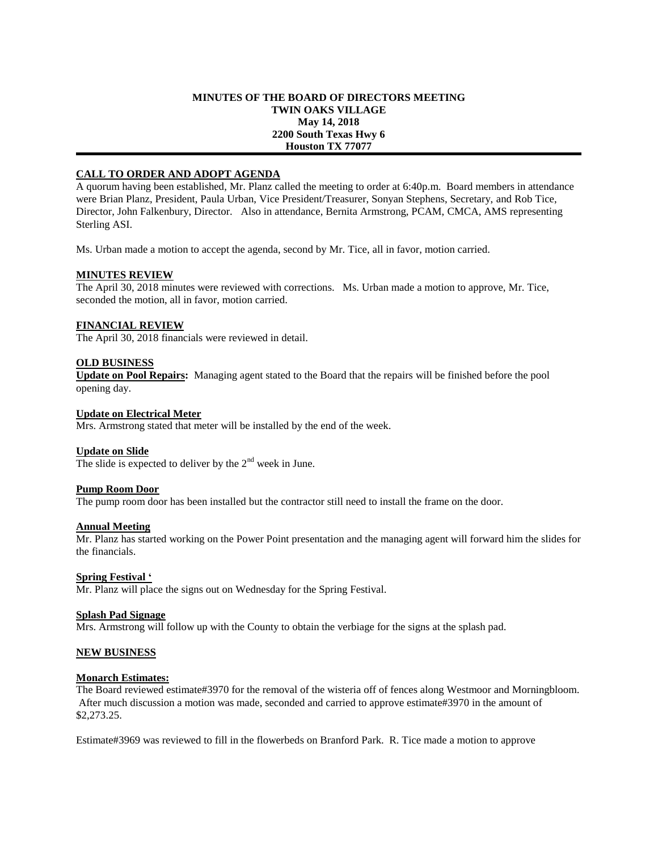## **MINUTES OF THE BOARD OF DIRECTORS MEETING TWIN OAKS VILLAGE May 14, 2018 2200 South Texas Hwy 6 Houston TX 77077**

# **CALL TO ORDER AND ADOPT AGENDA**

A quorum having been established, Mr. Planz called the meeting to order at 6:40p.m. Board members in attendance were Brian Planz, President, Paula Urban, Vice President/Treasurer, Sonyan Stephens, Secretary, and Rob Tice, Director, John Falkenbury, Director. Also in attendance, Bernita Armstrong, PCAM, CMCA, AMS representing Sterling ASI.

Ms. Urban made a motion to accept the agenda, second by Mr. Tice, all in favor, motion carried.

# **MINUTES REVIEW**

The April 30, 2018 minutes were reviewed with corrections. Ms. Urban made a motion to approve, Mr. Tice, seconded the motion, all in favor, motion carried.

# **FINANCIAL REVIEW**

The April 30, 2018 financials were reviewed in detail.

## **OLD BUSINESS**

**Update on Pool Repairs:** Managing agent stated to the Board that the repairs will be finished before the pool opening day.

# **Update on Electrical Meter**

Mrs. Armstrong stated that meter will be installed by the end of the week.

# **Update on Slide**

The slide is expected to deliver by the  $2<sup>nd</sup>$  week in June.

### **Pump Room Door**

The pump room door has been installed but the contractor still need to install the frame on the door.

### **Annual Meeting**

Mr. Planz has started working on the Power Point presentation and the managing agent will forward him the slides for the financials.

### **Spring Festival '**

Mr. Planz will place the signs out on Wednesday for the Spring Festival.

### **Splash Pad Signage**

Mrs. Armstrong will follow up with the County to obtain the verbiage for the signs at the splash pad.

### **NEW BUSINESS**

### **Monarch Estimates:**

The Board reviewed estimate#3970 for the removal of the wisteria off of fences along Westmoor and Morningbloom. After much discussion a motion was made, seconded and carried to approve estimate#3970 in the amount of \$2,273.25.

Estimate#3969 was reviewed to fill in the flowerbeds on Branford Park. R. Tice made a motion to approve